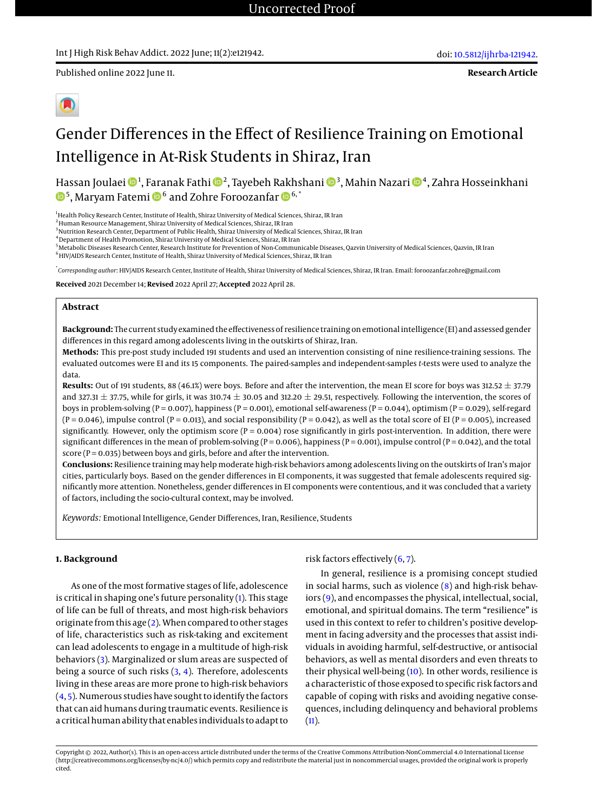Published online 2022 June 11.

**Research Article**



# Gender Differences in the Effect of Resilience Training on Emotional Intelligence in At-Risk Students in Shiraz, Iran

Hassan Joulaei ��4, Faranak Fathi ���, Tayebeh Rakhshani ���, Mahin Nazari ��4, Zahra Hosseinkhani  $^5$ , Maryam Fatemi  $\mathbf{D}^6$  and Zohre Foroozanfar  $\mathbf{D}^{6,^\ast}$ 

<sup>1</sup>Health Policy Research Center, Institute of Health, Shiraz University of Medical Sciences, Shiraz, IR Iran

<sup>2</sup> Human Resource Management, Shiraz University of Medical Sciences, Shiraz, IR Iran

<sup>3</sup>Nutrition Research Center, Department of Public Health, Shiraz University of Medical Sciences, Shiraz, IR Iran

<sup>4</sup> Department of Health Promotion, Shiraz University of Medical Sciences, Shiraz, IR Iran

<sup>5</sup>Metabolic Diseases Research Center, Research Institute for Prevention of Non-Communicable Diseases, Qazvin University of Medical Sciences, Qazvin, IR Iran <sup>6</sup>HIV/AIDS Research Center, Institute of Health, Shiraz University of Medical Sciences, Shiraz, IR Iran

\* *Corresponding author*: HIV/AIDS Research Center, Institute of Health, Shiraz University of Medical Sciences, Shiraz, IR Iran. Email: foroozanfar.zohre@gmail.com

**Received** 2021 December 14; **Revised** 2022 April 27; **Accepted** 2022 April 28.

#### **Abstract**

**Background:** The current study examined the effectiveness of resilience training on emotional intelligence (EI) and assessed gender differences in this regard among adolescents living in the outskirts of Shiraz, Iran.

**Methods:** This pre-post study included 191 students and used an intervention consisting of nine resilience-training sessions. The evaluated outcomes were EI and its 15 components. The paired-samples and independent-samples *t*-tests were used to analyze the data.

**Results:** Out of 191 students, 88 (46.1%) were boys. Before and after the intervention, the mean EI score for boys was 312.52 ± 37.79 and 327.31  $\pm$  37.75, while for girls, it was 310.74  $\pm$  30.05 and 312.20  $\pm$  29.51, respectively. Following the intervention, the scores of boys in problem-solving (P = 0.007), happiness (P = 0.001), emotional self-awareness (P = 0.044), optimism (P = 0.029), self-regard  $(P = 0.046)$ , impulse control  $(P = 0.013)$ , and social responsibility  $(P = 0.042)$ , as well as the total score of EI  $(P = 0.005)$ , increased significantly. However, only the optimism score ( $P = 0.004$ ) rose significantly in girls post-intervention. In addition, there were significant differences in the mean of problem-solving ( $P = 0.006$ ), happiness ( $P = 0.001$ ), impulse control ( $P = 0.042$ ), and the total score ( $P = 0.035$ ) between boys and girls, before and after the intervention.

**Conclusions:** Resilience training may help moderate high-risk behaviors among adolescents living on the outskirts of Iran's major cities, particularly boys. Based on the gender differences in EI components, it was suggested that female adolescents required significantly more attention. Nonetheless, gender differences in EI components were contentious, and it was concluded that a variety of factors, including the socio-cultural context, may be involved.

*Keywords:* Emotional Intelligence, Gender Differences, Iran, Resilience, Students

#### **1. Background**

As one of the most formative stages of life, adolescence is critical in shaping one's future personality [\(1\)](#page-6-0). This stage of life can be full of threats, and most high-risk behaviors originate from this age [\(2\)](#page-6-1). When compared to other stages of life, characteristics such as risk-taking and excitement can lead adolescents to engage in a multitude of high-risk behaviors [\(3\)](#page-6-2). Marginalized or slum areas are suspected of being a source of such risks [\(3,](#page-6-2) [4\)](#page-6-3). Therefore, adolescents living in these areas are more prone to high-risk behaviors [\(4,](#page-6-3) [5\)](#page-6-4). Numerous studies have sought to identify the factors that can aid humans during traumatic events. Resilience is a critical human ability that enables individuals to adapt to

risk factors effectively  $(6, 7)$  $(6, 7)$  $(6, 7)$ .

In general, resilience is a promising concept studied in social harms, such as violence [\(8\)](#page-6-7) and high-risk behaviors [\(9\)](#page-6-8), and encompasses the physical, intellectual, social, emotional, and spiritual domains. The term "resilience" is used in this context to refer to children's positive development in facing adversity and the processes that assist individuals in avoiding harmful, self-destructive, or antisocial behaviors, as well as mental disorders and even threats to their physical well-being [\(10\)](#page-6-9). In other words, resilience is a characteristic of those exposed to specific risk factors and capable of coping with risks and avoiding negative consequences, including delinquency and behavioral problems  $(11).$  $(11).$ 

Copyright © 2022, Author(s). This is an open-access article distributed under the terms of the Creative Commons Attribution-NonCommercial 4.0 International License (http://creativecommons.org/licenses/by-nc/4.0/) which permits copy and redistribute the material just in noncommercial usages, provided the original work is properly cited.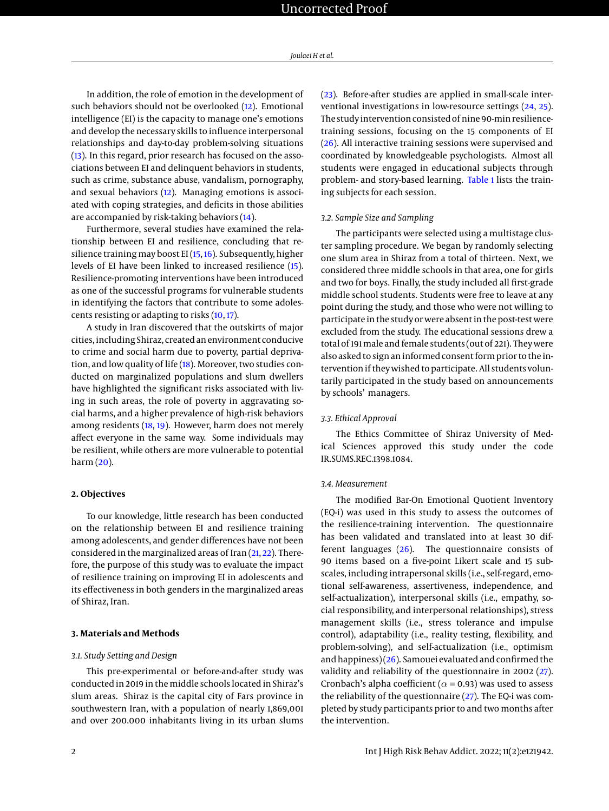In addition, the role of emotion in the development of such behaviors should not be overlooked [\(12\)](#page-6-11). Emotional intelligence (EI) is the capacity to manage one's emotions and develop the necessary skills to influence interpersonal relationships and day-to-day problem-solving situations [\(13\)](#page-6-12). In this regard, prior research has focused on the associations between EI and delinquent behaviors in students, such as crime, substance abuse, vandalism, pornography, and sexual behaviors [\(12\)](#page-6-11). Managing emotions is associated with coping strategies, and deficits in those abilities are accompanied by risk-taking behaviors [\(14\)](#page-6-13).

Furthermore, several studies have examined the relationship between EI and resilience, concluding that resilience training may boost EI [\(15,](#page-6-14) [16\)](#page-6-15). Subsequently, higher levels of EI have been linked to increased resilience [\(15\)](#page-6-14). Resilience-promoting interventions have been introduced as one of the successful programs for vulnerable students in identifying the factors that contribute to some adolescents resisting or adapting to risks [\(10,](#page-6-9) [17\)](#page-6-16).

A study in Iran discovered that the outskirts of major cities, including Shiraz, created an environment conducive to crime and social harm due to poverty, partial deprivation, and low quality of life  $(18)$ . Moreover, two studies conducted on marginalized populations and slum dwellers have highlighted the significant risks associated with living in such areas, the role of poverty in aggravating social harms, and a higher prevalence of high-risk behaviors among residents [\(18,](#page-6-17) [19\)](#page-6-18). However, harm does not merely affect everyone in the same way. Some individuals may be resilient, while others are more vulnerable to potential harm [\(20\)](#page-6-19).

#### **2. Objectives**

To our knowledge, little research has been conducted on the relationship between EI and resilience training among adolescents, and gender differences have not been considered in the marginalized areas of Iran [\(21,](#page-6-20) [22\)](#page-7-0). Therefore, the purpose of this study was to evaluate the impact of resilience training on improving EI in adolescents and its effectiveness in both genders in the marginalized areas of Shiraz, Iran.

#### **3. Materials and Methods**

#### *3.1. Study Setting and Design*

This pre-experimental or before-and-after study was conducted in 2019 in the middle schools located in Shiraz's slum areas. Shiraz is the capital city of Fars province in southwestern Iran, with a population of nearly 1,869,001 and over 200.000 inhabitants living in its urban slums

[\(23\)](#page-7-1). Before-after studies are applied in small-scale interventional investigations in low-resource settings [\(24,](#page-7-2) [25\)](#page-7-3). The study intervention consisted of nine 90-min resiliencetraining sessions, focusing on the 15 components of EI [\(26\)](#page-7-4). All interactive training sessions were supervised and coordinated by knowledgeable psychologists. Almost all students were engaged in educational subjects through problem- and story-based learning. [Table 1](#page-2-0) lists the training subjects for each session.

#### *3.2. Sample Size and Sampling*

The participants were selected using a multistage cluster sampling procedure. We began by randomly selecting one slum area in Shiraz from a total of thirteen. Next, we considered three middle schools in that area, one for girls and two for boys. Finally, the study included all first-grade middle school students. Students were free to leave at any point during the study, and those who were not willing to participate in the study or were absent in the post-test were excluded from the study. The educational sessions drew a total of 191 male and female students (out of 221). They were also asked to sign an informed consent form prior to the intervention if they wished to participate. All students voluntarily participated in the study based on announcements by schools' managers.

#### *3.3. Ethical Approval*

The Ethics Committee of Shiraz University of Medical Sciences approved this study under the code IR.SUMS.REC.1398.1084.

#### *3.4. Measurement*

The modified Bar-On Emotional Quotient Inventory (EQ-i) was used in this study to assess the outcomes of the resilience-training intervention. The questionnaire has been validated and translated into at least 30 different languages [\(26\)](#page-7-4). The questionnaire consists of 90 items based on a five-point Likert scale and 15 subscales, including intrapersonal skills (i.e., self-regard, emotional self-awareness, assertiveness, independence, and self-actualization), interpersonal skills (i.e., empathy, social responsibility, and interpersonal relationships), stress management skills (i.e., stress tolerance and impulse control), adaptability (i.e., reality testing, flexibility, and problem-solving), and self-actualization (i.e., optimism and happiness) [\(26\)](#page-7-4). Samouei evaluated and confirmed the validity and reliability of the questionnaire in 2002 [\(27\)](#page-7-5). Cronbach's alpha coefficient ( $\alpha$  = 0.93) was used to assess the reliability of the questionnaire  $(27)$ . The EQ-i was completed by study participants prior to and two months after the intervention.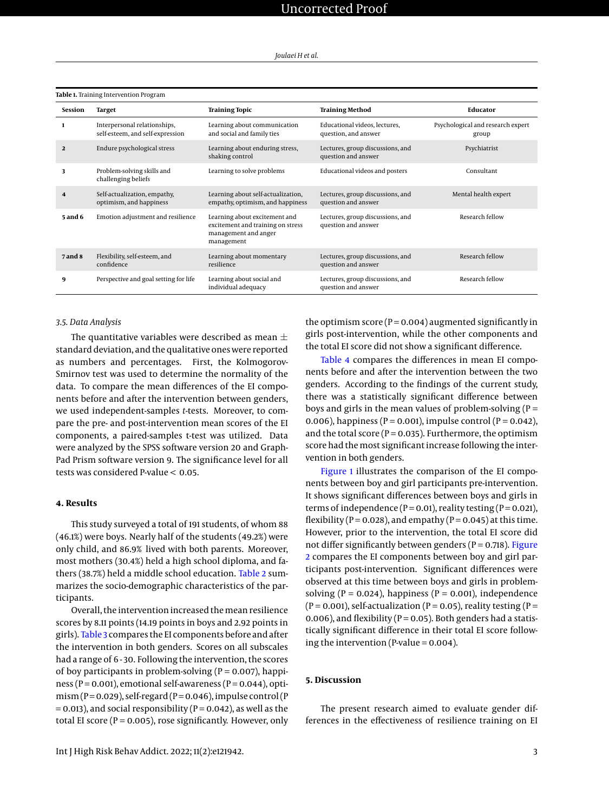<span id="page-2-0"></span>

| <b>ROK I:</b> Hummg meervention i rogrum |                                                                  |                                                                                                          |                                                         |                                            |  |  |  |
|------------------------------------------|------------------------------------------------------------------|----------------------------------------------------------------------------------------------------------|---------------------------------------------------------|--------------------------------------------|--|--|--|
| <b>Session</b>                           | Target                                                           | <b>Training Topic</b>                                                                                    | <b>Training Method</b>                                  | Educator                                   |  |  |  |
|                                          | Interpersonal relationships,<br>self-esteem, and self-expression | Learning about communication<br>and social and family ties                                               | Educational videos, lectures,<br>question, and answer   | Psychological and research expert<br>group |  |  |  |
| $\overline{2}$                           | Endure psychological stress                                      | Learning about enduring stress,<br>shaking control                                                       | Lectures, group discussions, and<br>question and answer | Psychiatrist                               |  |  |  |
| 3                                        | Problem-solving skills and<br>challenging beliefs                | Learning to solve problems                                                                               | Educational videos and posters                          | Consultant                                 |  |  |  |
| 4                                        | Self-actualization, empathy,<br>optimism, and happiness          | Learning about self-actualization,<br>empathy, optimism, and happiness                                   | Lectures, group discussions, and<br>question and answer | Mental health expert                       |  |  |  |
| <b>5 and 6</b>                           | Emotion adjustment and resilience                                | Learning about excitement and<br>excitement and training on stress<br>management and anger<br>management | Lectures, group discussions, and<br>question and answer | Research fellow                            |  |  |  |
| <b>7</b> and 8                           | Flexibility, self-esteem, and<br>confidence                      | Learning about momentary<br>resilience                                                                   | Lectures, group discussions, and<br>question and answer | Research fellow                            |  |  |  |
| 9                                        | Perspective and goal setting for life                            | Learning about social and<br>individual adequacy                                                         | Lectures, group discussions, and<br>question and answer | Research fellow                            |  |  |  |

#### *3.5. Data Analysis*

The quantitative variables were described as mean  $\pm$ standard deviation, and the qualitative ones were reported as numbers and percentages. First, the Kolmogorov-Smirnov test was used to determine the normality of the data. To compare the mean differences of the EI components before and after the intervention between genders, we used independent-samples *t*-tests. Moreover, to compare the pre- and post-intervention mean scores of the EI components, a paired-samples t-test was utilized. Data were analyzed by the SPSS software version 20 and Graph-Pad Prism software version 9. The significance level for all tests was considered P-value < 0.05.

#### **4. Results**

This study surveyed a total of 191 students, of whom 88 (46.1%) were boys. Nearly half of the students (49.2%) were only child, and 86.9% lived with both parents. Moreover, most mothers (30.4%) held a high school diploma, and fathers (38.7%) held a middle school education. [Table 2](#page-4-0) summarizes the socio-demographic characteristics of the participants.

Overall, the intervention increased the mean resilience scores by 8.11 points (14.19 points in boys and 2.92 points in girls). [Table 3](#page-5-0) compares the EI components before and after the intervention in both genders. Scores on all subscales had a range of 6-30. Following the intervention, the scores of boy participants in problem-solving ( $P = 0.007$ ), happiness ( $P = 0.001$ ), emotional self-awareness ( $P = 0.044$ ), optimism (P = 0.029), self-regard (P = 0.046), impulse control (P  $= 0.013$ ), and social responsibility (P = 0.042), as well as the total EI score ( $P = 0.005$ ), rose significantly. However, only

the optimism score ( $P = 0.004$ ) augmented significantly in girls post-intervention, while the other components and the total EI score did not show a significant difference.

[Table 4](#page-6-21) compares the differences in mean EI components before and after the intervention between the two genders. According to the findings of the current study, there was a statistically significant difference between boys and girls in the mean values of problem-solving  $(P =$ 0.006), happiness ( $P = 0.001$ ), impulse control ( $P = 0.042$ ), and the total score ( $P = 0.035$ ). Furthermore, the optimism score had the most significant increase following the intervention in both genders.

[Figure 1](#page-3-0) illustrates the comparison of the EI components between boy and girl participants pre-intervention. It shows significant differences between boys and girls in terms of independence ( $P = 0.01$ ), reality testing ( $P = 0.021$ ), flexibility ( $P = 0.028$ ), and empathy ( $P = 0.045$ ) at this time. However, prior to the intervention, the total EI score did not differ significantly between genders ( $P = 0.718$ ). [Figure](#page-3-1) [2](#page-3-1) compares the EI components between boy and girl participants post-intervention. Significant differences were observed at this time between boys and girls in problemsolving ( $P = 0.024$ ), happiness ( $P = 0.001$ ), independence  $(P = 0.001)$ , self-actualization  $(P = 0.05)$ , reality testing  $(P = 0.001)$ 0.006), and flexibility ( $P = 0.05$ ). Both genders had a statistically significant difference in their total EI score following the intervention (P-value =  $0.004$ ).

#### **5. Discussion**

The present research aimed to evaluate gender differences in the effectiveness of resilience training on EI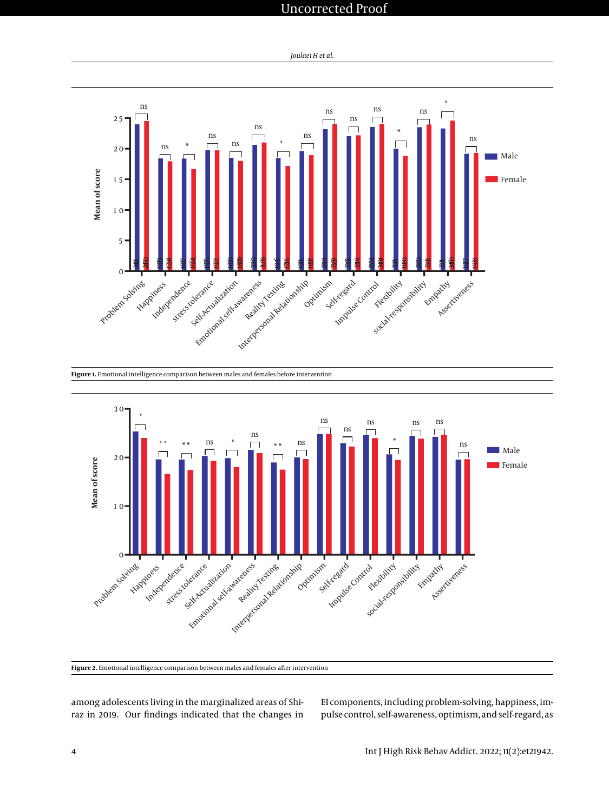## Uncorrected Proof

*Joulaei H et al.*

<span id="page-3-0"></span>

<span id="page-3-1"></span>

**Figure 1.** Emotional intelligence comparison between males and females before intervention

**Figure 2.** Emotional intelligence comparison between males and females after intervention

among adolescents living in the marginalized areas of Shiraz in 2019. Our findings indicated that the changes in EI components, including problem-solving, happiness, impulse control, self-awareness, optimism, and self-regard, as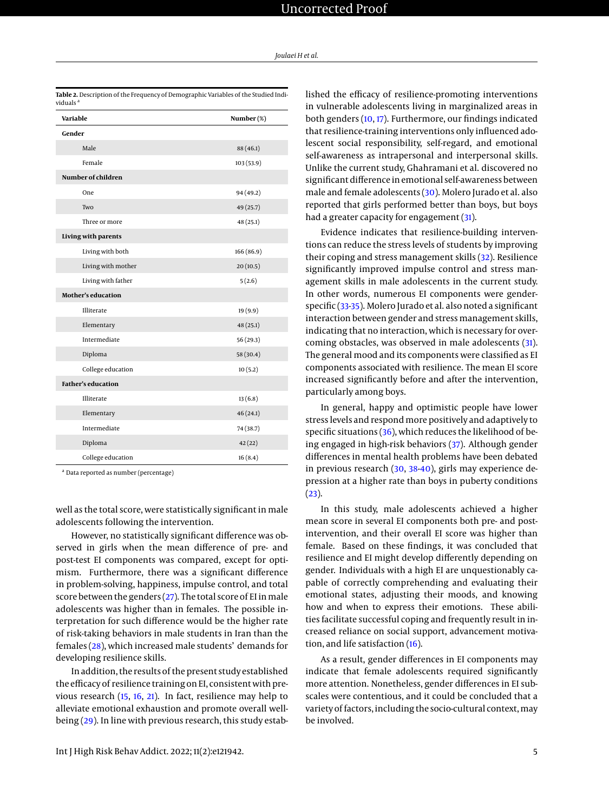| Variable                  | Number (%) |
|---------------------------|------------|
| Gender                    |            |
| Male                      | 88 (46.1)  |
| Female                    | 103(53.9)  |
| Number of children        |            |
| One                       | 94 (49.2)  |
| Two                       | 49 (25.7)  |
| Three or more             | 48(25.1)   |
| Living with parents       |            |
| Living with both          | 166 (86.9) |
| Living with mother        | 20(10.5)   |
| Living with father        | 5(2.6)     |
| <b>Mother's education</b> |            |
| Illiterate                | 19(9.9)    |
| Elementary                | 48(25.1)   |
| Intermediate              | 56(29.3)   |
| Diploma                   | 58 (30.4)  |
| College education         | 10(5.2)    |
| <b>Father's education</b> |            |
| Illiterate                | 13(6.8)    |
| Elementary                | 46(24.1)   |
| Intermediate              | 74 (38.7)  |
| Diploma                   | 42(22)     |
| College education         | 16(8.4)    |

<span id="page-4-0"></span>**Table 2.** Description of the Frequency of Demographic Variables of the Studied Indi-

<sup>a</sup> Data reported as number (percentage)

well as the total score, were statistically significant in male adolescents following the intervention.

However, no statistically significant difference was observed in girls when the mean difference of pre- and post-test EI components was compared, except for optimism. Furthermore, there was a significant difference in problem-solving, happiness, impulse control, and total score between the genders  $(27)$ . The total score of EI in male adolescents was higher than in females. The possible interpretation for such difference would be the higher rate of risk-taking behaviors in male students in Iran than the females [\(28\)](#page-7-6), which increased male students' demands for developing resilience skills.

In addition, the results of the present study established the efficacy of resilience training on EI, consistent with previous research [\(15,](#page-6-14) [16,](#page-6-15) [21\)](#page-6-20). In fact, resilience may help to alleviate emotional exhaustion and promote overall well-being [\(29\)](#page-7-7). In line with previous research, this study estab-

lished the efficacy of resilience-promoting interventions in vulnerable adolescents living in marginalized areas in both genders [\(10,](#page-6-9) [17\)](#page-6-16). Furthermore, our findings indicated that resilience-training interventions only influenced adolescent social responsibility, self-regard, and emotional self-awareness as intrapersonal and interpersonal skills. Unlike the current study, Ghahramani et al. discovered no significant difference in emotional self-awareness between male and female adolescents [\(30\)](#page-7-8). Molero Jurado et al. also reported that girls performed better than boys, but boys had a greater capacity for engagement [\(31\)](#page-7-9).

Evidence indicates that resilience-building interventions can reduce the stress levels of students by improving their coping and stress management skills [\(32\)](#page-7-10). Resilience significantly improved impulse control and stress management skills in male adolescents in the current study. In other words, numerous EI components were genderspecific [\(33-](#page-7-11)[35\)](#page-7-12). Molero Jurado et al. also noted a significant interaction between gender and stress management skills, indicating that no interaction, which is necessary for overcoming obstacles, was observed in male adolescents [\(31\)](#page-7-9). The general mood and its components were classified as EI components associated with resilience. The mean EI score increased significantly before and after the intervention, particularly among boys.

In general, happy and optimistic people have lower stress levels and respond more positively and adaptively to specific situations  $(36)$ , which reduces the likelihood of being engaged in high-risk behaviors [\(37\)](#page-7-14). Although gender differences in mental health problems have been debated in previous research [\(30,](#page-7-8) [38-](#page-7-15)[40\)](#page-7-16), girls may experience depression at a higher rate than boys in puberty conditions  $(23).$  $(23).$ 

In this study, male adolescents achieved a higher mean score in several EI components both pre- and postintervention, and their overall EI score was higher than female. Based on these findings, it was concluded that resilience and EI might develop differently depending on gender. Individuals with a high EI are unquestionably capable of correctly comprehending and evaluating their emotional states, adjusting their moods, and knowing how and when to express their emotions. These abilities facilitate successful coping and frequently result in increased reliance on social support, advancement motivation, and life satisfaction [\(16\)](#page-6-15).

As a result, gender differences in EI components may indicate that female adolescents required significantly more attention. Nonetheless, gender differences in EI subscales were contentious, and it could be concluded that a variety of factors, including the socio-cultural context, may be involved.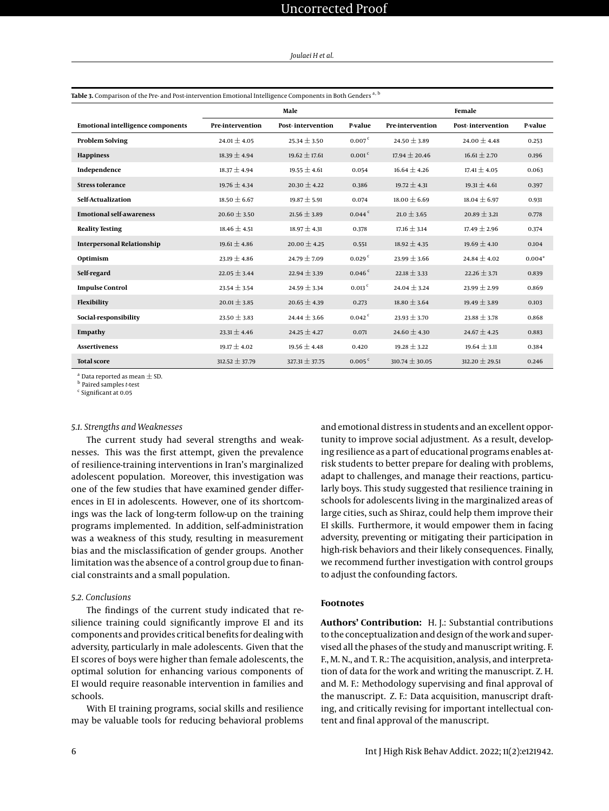*Joulaei H et al.*

<span id="page-5-0"></span>

| Table 3. Comparison of the Pre- and Post-intervention Emotional Intelligence Components in Both Genders <sup>a, b</sup> |                    |                          |                      |                    |                          |          |  |
|-------------------------------------------------------------------------------------------------------------------------|--------------------|--------------------------|----------------------|--------------------|--------------------------|----------|--|
|                                                                                                                         | Male               |                          |                      | Female             |                          |          |  |
| <b>Emotional intelligence components</b>                                                                                | Pre-intervention   | <b>Post-intervention</b> | P-value              | Pre-intervention   | <b>Post-intervention</b> | P-value  |  |
| <b>Problem Solving</b>                                                                                                  | $24.01 \pm 4.05$   | $25.34 \pm 3.50$         | 0.007 <sup>c</sup>   | $24.50 \pm 3.89$   | 24.00 $\pm$ 4.48         | 0.253    |  |
| <b>Happiness</b>                                                                                                        | $18.39 \pm 4.94$   | $19.62 \pm 17.61$        | $0.001$ <sup>c</sup> | $17.94 \pm 20.46$  | $16.61 \pm 2.70$         | 0.196    |  |
| Independence                                                                                                            | $18.37 \pm 4.94$   | $19.55 \pm 4.61$         | 0.054                | $16.64 \pm 4.26$   | $17.41 \pm 4.05$         | 0.063    |  |
| <b>Stress tolerance</b>                                                                                                 | $19.76 \pm 4.34$   | $20.30 \pm 4.22$         | 0.386                | $19.72 \pm 4.31$   | $19.31 \pm 4.61$         | 0.397    |  |
| Self-Actualization                                                                                                      | $18.50 \pm 6.67$   | $19.87 \pm 5.91$         | 0.074                | $18.00 \pm 6.69$   | $18.04 \pm 6.97$         | 0.931    |  |
| <b>Emotional self-awareness</b>                                                                                         | $20.60 \pm 3.50$   | $21.56 \pm 3.89$         | $0.044$ <sup>c</sup> | $21.0 \pm 3.65$    | $20.89 \pm 3.21$         | 0.778    |  |
| <b>Reality Testing</b>                                                                                                  | $18.46 \pm 4.51$   | $18.97 \pm 4.31$         | 0.378                | $17.16 \pm 3.14$   | $17.49 \pm 2.96$         | 0.374    |  |
| <b>Interpersonal Relationship</b>                                                                                       | $19.61 \pm 4.86$   | $20.00 \pm 4.25$         | 0.551                | $18.92 \pm 4.35$   | $19.69 \pm 4.10$         | 0.104    |  |
| Optimism                                                                                                                | $23.19 \pm 4.86$   | $24.79 \pm 7.09$         | 0.029 <sup>c</sup>   | $23.99 \pm 3.66$   | $24.84 + 4.02$           | $0.004*$ |  |
| Self-regard                                                                                                             | $22.05 \pm 3.44$   | $22.94 \pm 3.39$         | 0.046 <sup>c</sup>   | $22.18 \pm 3.33$   | $22.26 \pm 3.71$         | 0.839    |  |
| <b>Impulse Control</b>                                                                                                  | $23.54 \pm 3.54$   | $24.59 \pm 3.34$         | $0.013$ <sup>c</sup> | $24.04 \pm 3.24$   | 23.99 $\pm$ 2.99         | 0.869    |  |
| Flexibility                                                                                                             | $20.01 \pm 3.85$   | $20.65 \pm 4.39$         | 0.273                | $18.80 \pm 3.64$   | $19.49 \pm 3.89$         | 0.103    |  |
| Social-responsibility                                                                                                   | 23.50 $\pm$ 3.83   | $24.44 \pm 3.66$         | $0.042$ <sup>c</sup> | $23.93 \pm 3.70$   | $23.88 \pm 3.78$         | 0.868    |  |
| Empathy                                                                                                                 | $23.31 \pm 4.46$   | $24.25 \pm 4.27$         | 0.071                | 24.60 $\pm$ 4.30   | $24.67 \pm 4.25$         | 0.883    |  |
| <b>Assertiveness</b>                                                                                                    | $19.17 \pm 4.02$   | $19.56 \pm 4.48$         | 0.420                | $19.28 \pm 3.22$   | $19.64 \pm 3.11$         | 0.384    |  |
| <b>Total score</b>                                                                                                      | $312.52 \pm 37.79$ | $327.31 \pm 37.75$       | 0.005 <sup>c</sup>   | $310.74 \pm 30.05$ | 312.20 $\pm$ 29.51       | 0.246    |  |

<sup>a</sup> Data reported as mean  $\pm$  SD.

b Paired samples *t*-test

c Significant at 0.05

#### *5.1. Strengths and Weaknesses*

The current study had several strengths and weaknesses. This was the first attempt, given the prevalence of resilience-training interventions in Iran's marginalized adolescent population. Moreover, this investigation was one of the few studies that have examined gender differences in EI in adolescents. However, one of its shortcomings was the lack of long-term follow-up on the training programs implemented. In addition, self-administration was a weakness of this study, resulting in measurement bias and the misclassification of gender groups. Another limitation was the absence of a control group due to financial constraints and a small population.

#### *5.2. Conclusions*

The findings of the current study indicated that resilience training could significantly improve EI and its components and provides critical benefits for dealing with adversity, particularly in male adolescents. Given that the EI scores of boys were higher than female adolescents, the optimal solution for enhancing various components of EI would require reasonable intervention in families and schools.

With EI training programs, social skills and resilience may be valuable tools for reducing behavioral problems and emotional distress in students and an excellent opportunity to improve social adjustment. As a result, developing resilience as a part of educational programs enables atrisk students to better prepare for dealing with problems, adapt to challenges, and manage their reactions, particularly boys. This study suggested that resilience training in schools for adolescents living in the marginalized areas of large cities, such as Shiraz, could help them improve their EI skills. Furthermore, it would empower them in facing adversity, preventing or mitigating their participation in high-risk behaviors and their likely consequences. Finally, we recommend further investigation with control groups to adjust the confounding factors.

### **Footnotes**

**Authors' Contribution:** H. J.: Substantial contributions to the conceptualization and design of the work and supervised all the phases of the study and manuscript writing. F. F., M. N., and T. R.: The acquisition, analysis, and interpretation of data for the work and writing the manuscript. Z. H. and M. F.: Methodology supervising and final approval of the manuscript. Z. F.: Data acquisition, manuscript drafting, and critically revising for important intellectual content and final approval of the manuscript.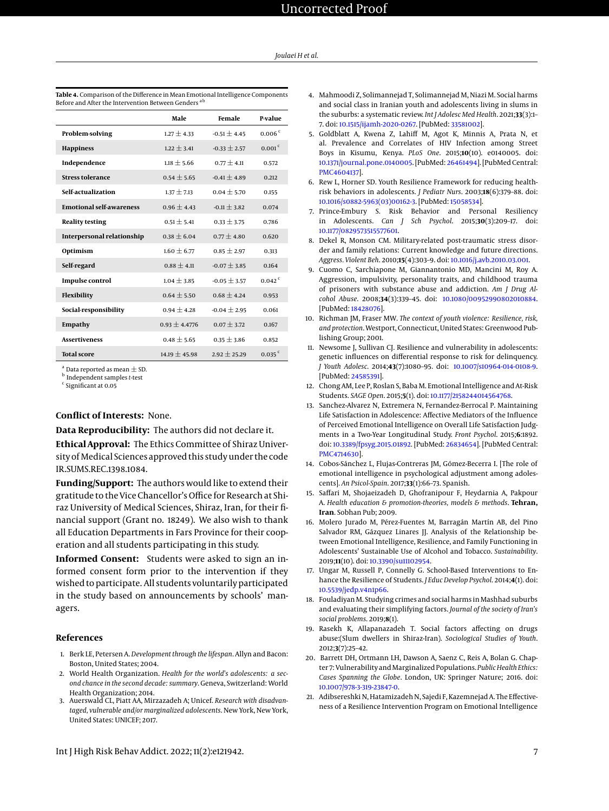|                                   | Male              | Female           | P-value              |
|-----------------------------------|-------------------|------------------|----------------------|
| Problem-solving                   | $1.27 \pm 4.33$   | $-0.51 \pm 4.45$ | 0.006 <sup>c</sup>   |
| <b>Happiness</b>                  | $1.22 + 3.41$     | $-0.33 + 2.57$   | 0.001 <sup>c</sup>   |
| Independence                      | $1.18 + 5.66$     | $0.77 + 4.11$    | 0.572                |
| <b>Stress tolerance</b>           | $0.54 + 5.65$     | $-0.41 + 4.89$   | 0.212                |
| Self-actualization                | $1.37 + 7.13$     | $0.04 + 5.70$    | 0.155                |
| <b>Emotional self-awareness</b>   | $0.96 \pm 4.43$   | $-0.11 \pm 3.82$ | 0.074                |
| <b>Reality testing</b>            | $0.51 + 5.41$     | $0.33 + 3.75$    | 0.786                |
| <b>Interpersonal relationship</b> | $0.38 \pm 6.04$   | $0.77 + 4.80$    | 0.620                |
| Optimism                          | $1.60 + 6.77$     | $0.85 + 2.97$    | 0.313                |
| Self-regard                       | $0.88 + 4.11$     | $-0.07 + 3.85$   | 0.164                |
| <b>Impulse control</b>            | $1.04 \pm 3.85$   | $-0.05 + 3.57$   | 0.042 <sup>c</sup>   |
| Flexibility                       | $0.64 + 5.50$     | $0.68 + 4.24$    | 0.953                |
| Social-responsibility             | $0.94 + 4.28$     | $-0.04 + 2.95$   | 0.061                |
| Empathy                           | $0.93 + 4.4776$   | $0.07 + 3.72$    | 0.167                |
| <b>Assertiveness</b>              | $0.48 + 5.65$     | $0.35 \pm 3.86$  | 0.852                |
| <b>Total score</b>                | $14.19 \pm 45.98$ | $2.92 + 25.29$   | $0.035$ <sup>c</sup> |

<span id="page-6-21"></span>**Table 4.** Comparison of the Difference in Mean Emotional Intelligence Components Before and After the Intervention Between Genders<sup>a</sup>

 $^{\rm a}$  Data reported as mean  $\pm$  SD.

b Independent samples *t*-test c Significant at 0.05

#### **Conflict of Interests:** None.

**Data Reproducibility:** The authors did not declare it.

**Ethical Approval:** The Ethics Committee of Shiraz University of Medical Sciences approved this study under the code IR.SUMS.REC.1398.1084.

**Funding/Support:** The authors would like to extend their gratitude to the Vice Chancellor's Office for Research at Shiraz University of Medical Sciences, Shiraz, Iran, for their financial support (Grant no. 18249). We also wish to thank all Education Departments in Fars Province for their cooperation and all students participating in this study.

**Informed Consent:** Students were asked to sign an informed consent form prior to the intervention if they wished to participate. All students voluntarily participated in the study based on announcements by schools' managers.

#### **References**

- <span id="page-6-0"></span>1. Berk LE, Petersen A. *Development through the lifespan*. Allyn and Bacon: Boston, United States; 2004.
- <span id="page-6-1"></span>2. World Health Organization. *Health for the world's adolescents: a second chance in the second decade: summary*. Geneva, Switzerland: World Health Organization; 2014.
- <span id="page-6-2"></span>3. Auerswald CL, Piatt AA, Mirzazadeh A; Unicef. *Research with disadvantaged, vulnerable and/or marginalized adolescents*. New York, New York, United States: UNICEF; 2017.
- <span id="page-6-3"></span>4. Mahmoodi Z, Solimannejad T, Solimannejad M, Niazi M. Social harms and social class in Iranian youth and adolescents living in slums in the suburbs: a systematic review. *Int J Adolesc Med Health*. 2021;**33**(3):1– 7. doi: [10.1515/ijamh-2020-0267.](http://dx.doi.org/10.1515/ijamh-2020-0267) [PubMed: [33581002\]](http://www.ncbi.nlm.nih.gov/pubmed/33581002).
- <span id="page-6-4"></span>5. Goldblatt A, Kwena Z, Lahiff M, Agot K, Minnis A, Prata N, et al. Prevalence and Correlates of HIV Infection among Street Boys in Kisumu, Kenya. *PLoS One*. 2015;**10**(10). e0140005. doi: [10.1371/journal.pone.0140005.](http://dx.doi.org/10.1371/journal.pone.0140005) [PubMed: [26461494\]](http://www.ncbi.nlm.nih.gov/pubmed/26461494). [PubMed Central: [PMC4604137\]](https://www.ncbi.nlm.nih.gov/pmc/articles/PMC4604137).
- <span id="page-6-5"></span>6. Rew L, Horner SD. Youth Resilience Framework for reducing healthrisk behaviors in adolescents. *J Pediatr Nurs*. 2003;**18**(6):379–88. doi: [10.1016/s0882-5963\(03\)00162-3.](http://dx.doi.org/10.1016/s0882-5963(03)00162-3) [PubMed: [15058534\]](http://www.ncbi.nlm.nih.gov/pubmed/15058534).
- <span id="page-6-6"></span>7. Prince-Embury S. Risk Behavior and Personal Resiliency in Adolescents. *Can J Sch Psychol*. 2015;**30**(3):209–17. doi: [10.1177/0829573515577601.](http://dx.doi.org/10.1177/0829573515577601)
- <span id="page-6-7"></span>8. Dekel R, Monson CM. Military-related post-traumatic stress disorder and family relations: Current knowledge and future directions. *Aggress. Violent Beh*. 2010;**15**(4):303–9. doi: [10.1016/j.avb.2010.03.001.](http://dx.doi.org/10.1016/j.avb.2010.03.001)
- <span id="page-6-8"></span>9. Cuomo C, Sarchiapone M, Giannantonio MD, Mancini M, Roy A. Aggression, impulsivity, personality traits, and childhood trauma of prisoners with substance abuse and addiction. *Am J Drug Alcohol Abuse*. 2008;**34**(3):339–45. doi: [10.1080/00952990802010884.](http://dx.doi.org/10.1080/00952990802010884) [PubMed: [18428076\]](http://www.ncbi.nlm.nih.gov/pubmed/18428076).
- <span id="page-6-9"></span>10. Richman JM, Fraser MW. *The context of youth violence: Resilience, risk, and protection*. Westport, Connecticut, United States: Greenwood Publishing Group; 2001.
- <span id="page-6-10"></span>11. Newsome J, Sullivan CJ. Resilience and vulnerability in adolescents: genetic influences on differential response to risk for delinquency. *J Youth Adolesc*. 2014;**43**(7):1080–95. doi: [10.1007/s10964-014-0108-9.](http://dx.doi.org/10.1007/s10964-014-0108-9) [PubMed: [24585391\]](http://www.ncbi.nlm.nih.gov/pubmed/24585391).
- <span id="page-6-11"></span>12. Chong AM, Lee P, Roslan S, Baba M. Emotional Intelligence and At-Risk Students. *SAGE Open*. 2015;**5**(1). doi: [10.1177/2158244014564768.](http://dx.doi.org/10.1177/2158244014564768)
- <span id="page-6-12"></span>13. Sanchez-Alvarez N, Extremera N, Fernandez-Berrocal P. Maintaining Life Satisfaction in Adolescence: Affective Mediators of the Influence of Perceived Emotional Intelligence on Overall Life Satisfaction Judgments in a Two-Year Longitudinal Study. *Front Psychol*. 2015;**6**:1892. doi: [10.3389/fpsyg.2015.01892.](http://dx.doi.org/10.3389/fpsyg.2015.01892) [PubMed: [26834654\]](http://www.ncbi.nlm.nih.gov/pubmed/26834654). [PubMed Central: [PMC4714630\]](https://www.ncbi.nlm.nih.gov/pmc/articles/PMC4714630).
- <span id="page-6-13"></span>14. Cobos-Sánchez L, Flujas-Contreras JM, Gómez-Becerra I. [The role of emotional intelligence in psychological adjustment among adolescents]. *An Psicol-Spain*. 2017;**33**(1):66–73. Spanish.
- <span id="page-6-14"></span>15. Saffari M, Shojaeizadeh D, Ghofranipour F, Heydarnia A, Pakpour A. *Health education & promotion-theories, models & methods*. **Tehran, Iran**. Sobhan Pub; 2009.
- <span id="page-6-15"></span>16. Molero Jurado M, Pérez-Fuentes M, Barragán Martín AB, del Pino Salvador RM, Gázquez Linares JJ. Analysis of the Relationship between Emotional Intelligence, Resilience, and Family Functioning in Adolescents' Sustainable Use of Alcohol and Tobacco. *Sustainability*. 2019;**11**(10). doi: [10.3390/su11102954.](http://dx.doi.org/10.3390/su11102954)
- <span id="page-6-16"></span>17. Ungar M, Russell P, Connelly G. School-Based Interventions to Enhance the Resilience of Students. *J Educ Develop Psychol*. 2014;**4**(1). doi: [10.5539/jedp.v4n1p66.](http://dx.doi.org/10.5539/jedp.v4n1p66)
- <span id="page-6-17"></span>18. Fouladiyan M. Studying crimes and social harms in Mashhad suburbs and evaluating their simplifying factors. *Journal of the society of Iran's social problems*. 2019;**8**(1).
- <span id="page-6-18"></span>19. Rasekh K, Allapanazadeh T. Social factors affecting on drugs abuse:(Slum dwellers in Shiraz-Iran). *Sociological Studies of Youth*. 2012;**3**(7):25–42.
- <span id="page-6-19"></span>20. Barrett DH, Ortmann LH, Dawson A, Saenz C, Reis A, Bolan G. Chapter 7: Vulnerability and Marginalized Populations. *Public Health Ethics: Cases Spanning the Globe*. London, UK: Springer Nature; 2016. doi: [10.1007/978-3-319-23847-0.](http://dx.doi.org/10.1007/978-3-319-23847-0)
- <span id="page-6-20"></span>21. Adibsereshki N, Hatamizadeh N, Sajedi F, Kazemnejad A. The Effectiveness of a Resilience Intervention Program on Emotional Intelligence